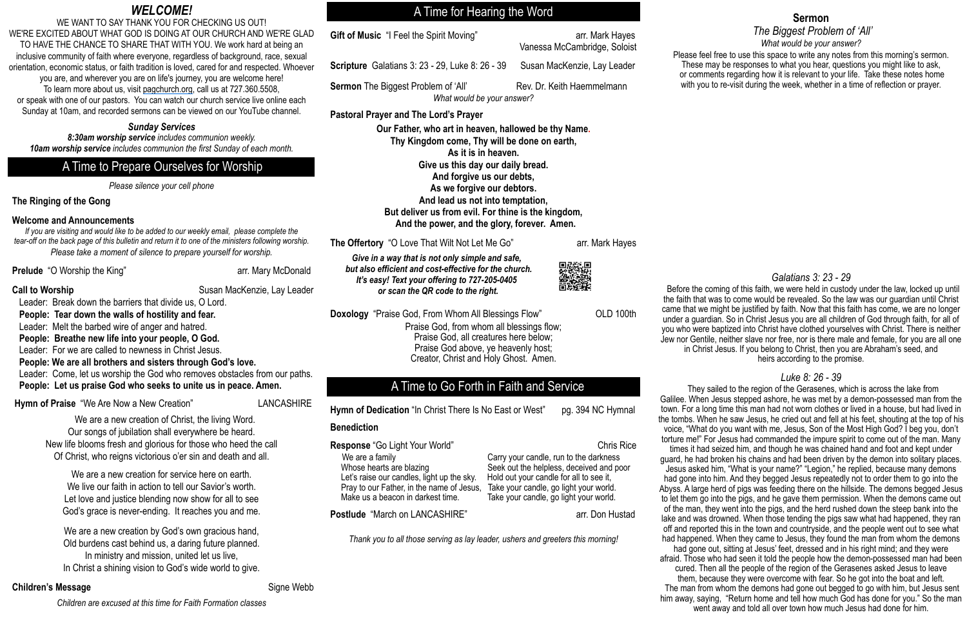Vanessa McCambridge, Soloist

**Scripture** Galatians 3: 23 - 29, Luke 8: 26 - 39 Susan MacKenzie, Lay Leader

**Sermon** The Biggest Problem of 'All' Rev. Dr. Keith Haemmelmann *What would be your answer?*

**Pastoral Prayer and The Lord's Prayer**

**Our Father, who art in heaven, hallowed be thy Name. Thy Kingdom come, Thy will be done on earth, As it is in heaven. Give us this day our daily bread. And forgive us our debts, As we forgive our debtors. And lead us not into temptation, But deliver us from evil. For thine is the kingdom, And the power, and the glory, forever. Amen.**

**The Offertory** "O Love That Wilt Not Let Me Go" arr. Mark Hayes

 *Give in a way that is not only simple and safe, but also efficient and cost-effective for the church. It's easy! Text your offering to 727-205-0405 or scan the QR code to the right.*

Praise God, from whom all blessings flow; Praise God, all creatures here below; Praise God above, ye heavenly host; Creator, Christ and Holy Ghost. Amen.

#### **Benediction**

**Response** "Go Light Your World" Chris Rice

We are a family **Carry your candle**, run to the darkness Whose hearts are blazing<br>Let's raise our candles, light up the sky. Hold out your candle for all to see it. Let's raise our candles, light up the sky.<br>Pray to our Father, in the name of Jesus, Pray to our Father, in the name of Jesus, Take your candle, go light your world.<br>Make us a beacon in darkest time.<br>Take your candle, go light your world.

Take your candle, go light your world.

**Postlude** "March on LANCASHIRE" arr. Don Hustad

*Thank you to all those serving as lay leader, ushers and greeters this morning!*

## *WELCOME!*

#### WE WANT TO SAY THANK YOU FOR CHECKING US OUT!

WE'RE EXCITED ABOUT WHAT GOD IS DOING AT OUR CHURCH AND WE'RE GLAD TO HAVE THE CHANCE TO SHARE THAT WITH YOU. We work hard at being an inclusive community of faith where everyone, regardless of background, race, sexual orientation, economic status, or faith tradition is loved, cared for and respected. Whoever

> We are a new creation by God's own gracious hand, Old burdens cast behind us, a daring future planned. In ministry and mission, united let us live, In Christ a shining vision to God's wide world to give.

Please feel free to use this space to write any notes from this morning's sermon. These may be responses to what you hear, questions you might like to ask, or comments regarding how it is relevant to your life. Take these notes home with you to re-visit during the week, whether in a time of reflection or prayer.

you are, and wherever you are on life's journey, you are welcome here! To learn more about us, visit [pagchurch.org,](http://pagchurch.org/) call us at 727.360.5508, or speak with one of our pastors. You can watch our church service live online each Sunday at 10am, and recorded sermons can be viewed on our YouTube channel.

#### *Sunday Services*

*8:30am worship service includes communion weekly. 10am worship service includes communion the first Sunday of each month.* 

*Please silence your cell phone* 

#### **The Ringing of the Gong**

#### **Welcome and Announcements**

*If you are visiting and would like to be added to our weekly email, please complete the tear-off on the back page of this bulletin and return it to one of the ministers following worship. Please take a moment of silence to prepare yourself for worship.*

**Prelude** "O Worship the King" arr. Mary McDonald

**Call to Worship Call to Worship Call to Worship Call to Worship Call to Worship Call to Worship Call to Worship Call to Worship Call to Worship Call to Worship Call to Worship Call to Worship Call to Worship Call to Worsh** 

Leader: Break down the barriers that divide us, O Lord.

 **People: Tear down the walls of hostility and fear.** 

Leader: Melt the barbed wire of anger and hatred.

- **People: Breathe new life into your people, O God.**
- Leader: For we are called to newness in Christ Jesus.
- **People: We are all brothers and sisters through God's love.**
- Leader: Come, let us worship the God who removes obstacles from our paths.

**People: Let us praise God who seeks to unite us in peace. Amen.**

**Hymn of Praise** "We Are Now a New Creation" LANCASHIRE

 We are a new creation of Christ, the living Word. Our songs of jubilation shall everywhere be heard. New life blooms fresh and glorious for those who heed the call Of Christ, who reigns victorious o'er sin and death and all.

We are a new creation for service here on earth. We live our faith in action to tell our Savior's worth. Let love and justice blending now show for all to see God's grace is never-ending. It reaches you and me.

*Children are excused at this time for Faith Formation classes* 

#### **Children's Message Signe Webb** Signe Webb

#### **Sermon**

#### *The Biggest Problem of 'All'*

*What would be your answer?*

#### *Galatians 3: 23 - 29*

 Before the coming of this faith, we were held in custody under the law, locked up until the faith that was to come would be revealed. So the law was our guardian until Christ came that we might be justified by faith. Now that this faith has come, we are no longer under a guardian. So in Christ Jesus you are all children of God through faith, for all of you who were baptized into Christ have clothed yourselves with Christ. There is neither Jew nor Gentile, neither slave nor free, nor is there male and female, for you are all one in Christ Jesus. If you belong to Christ, then you are Abraham's seed, and heirs according to the promise.

#### *Luke 8: 26 - 39*

 They sailed to the region of the Gerasenes, which is across the lake from Galilee. When Jesus stepped ashore, he was met by a demon-possessed man from the town. For a long time this man had not worn clothes or lived in a house, but had lived in the tombs. When he saw Jesus, he cried out and fell at his feet, shouting at the top of his voice, "What do you want with me, Jesus, Son of the Most High God? I beg you, don't torture me!" For Jesus had commanded the impure spirit to come out of the man. Many times it had seized him, and though he was chained hand and foot and kept under guard, he had broken his chains and had been driven by the demon into solitary places. Jesus asked him, "What is your name?" "Legion," he replied, because many demons had gone into him. And they begged Jesus repeatedly not to order them to go into the Abyss. A large herd of pigs was feeding there on the hillside. The demons begged Jesus to let them go into the pigs, and he gave them permission. When the demons came out of the man, they went into the pigs, and the herd rushed down the steep bank into the lake and was drowned. When those tending the pigs saw what had happened, they ran off and reported this in the town and countryside, and the people went out to see what had happened. When they came to Jesus, they found the man from whom the demons had gone out, sitting at Jesus' feet, dressed and in his right mind; and they were afraid. Those who had seen it told the people how the demon-possessed man had been cured. Then all the people of the region of the Gerasenes asked Jesus to leave them, because they were overcome with fear. So he got into the boat and left. The man from whom the demons had gone out begged to go with him, but Jesus sent him away, saying, "Return home and tell how much God has done for you." So the man went away and told all over town how much Jesus had done for him.

**Doxology** "Praise God, From Whom All Blessings Flow" OLD 100th

### A Time to Prepare Ourselves for Worship

## A Time for Hearing the Word

**Gift of Music** "I Feel the Spirit Moving" arr. Mark Hayes

## A Time to Go Forth in Faith and Service

**Hymn of Dedication** "In Christ There Is No East or West" pg. 394 NC Hymnal